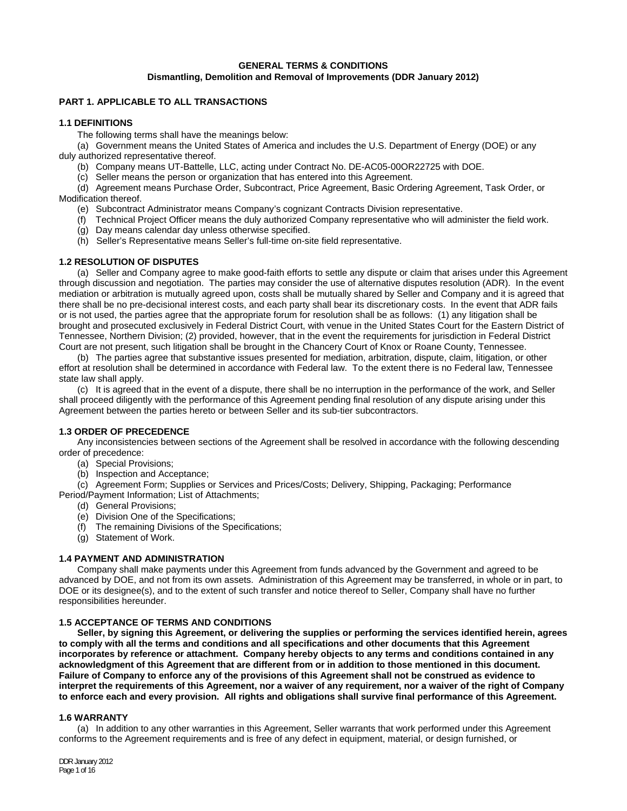# **GENERAL TERMS & CONDITIONS Dismantling, Demolition and Removal of Improvements (DDR January 2012)**

# **PART 1. APPLICABLE TO ALL TRANSACTIONS**

# **1.1 DEFINITIONS**

The following terms shall have the meanings below:

(a) Government means the United States of America and includes the U.S. Department of Energy (DOE) or any duly authorized representative thereof.

(b) Company means UT-Battelle, LLC, acting under Contract No. DE-AC05-00OR22725 with DOE.

(c) Seller means the person or organization that has entered into this Agreement.

 (d) Agreement means Purchase Order, Subcontract, Price Agreement, Basic Ordering Agreement, Task Order, or Modification thereof.

- (e) Subcontract Administrator means Company's cognizant Contracts Division representative.
- (f) Technical Project Officer means the duly authorized Company representative who will administer the field work.
- (g) Day means calendar day unless otherwise specified.
- (h) Seller's Representative means Seller's full-time on-site field representative.

# **1.2 RESOLUTION OF DISPUTES**

 (a) Seller and Company agree to make good-faith efforts to settle any dispute or claim that arises under this Agreement through discussion and negotiation. The parties may consider the use of alternative disputes resolution (ADR). In the event mediation or arbitration is mutually agreed upon, costs shall be mutually shared by Seller and Company and it is agreed that there shall be no pre-decisional interest costs, and each party shall bear its discretionary costs. In the event that ADR fails or is not used, the parties agree that the appropriate forum for resolution shall be as follows: (1) any litigation shall be brought and prosecuted exclusively in Federal District Court, with venue in the United States Court for the Eastern District of Tennessee, Northern Division; (2) provided, however, that in the event the requirements for jurisdiction in Federal District Court are not present, such litigation shall be brought in the Chancery Court of Knox or Roane County, Tennessee.

 (b) The parties agree that substantive issues presented for mediation, arbitration, dispute, claim, Iitigation, or other effort at resolution shall be determined in accordance with Federal law. To the extent there is no Federal law, Tennessee state law shall apply.

 (c) It is agreed that in the event of a dispute, there shall be no interruption in the performance of the work, and Seller shall proceed diligently with the performance of this Agreement pending final resolution of any dispute arising under this Agreement between the parties hereto or between Seller and its sub-tier subcontractors.

# **1.3 ORDER OF PRECEDENCE**

 Any inconsistencies between sections of the Agreement shall be resolved in accordance with the following descending order of precedence:

- (a) Special Provisions;
- (b) Inspection and Acceptance;

(c) Agreement Form; Supplies or Services and Prices/Costs; Delivery, Shipping, Packaging; Performance Period/Payment Information; List of Attachments;

- (d) General Provisions;
- (e) Division One of the Specifications;
- (f) The remaining Divisions of the Specifications;
- (g) Statement of Work.

# **1.4 PAYMENT AND ADMINISTRATION**

Company shall make payments under this Agreement from funds advanced by the Government and agreed to be advanced by DOE, and not from its own assets. Administration of this Agreement may be transferred, in whole or in part, to DOE or its designee(s), and to the extent of such transfer and notice thereof to Seller, Company shall have no further responsibilities hereunder.

# **1.5 ACCEPTANCE OF TERMS AND CONDITIONS**

 **Seller, by signing this Agreement, or delivering the supplies or performing the services identified herein, agrees to comply with all the terms and conditions and all specifications and other documents that this Agreement incorporates by reference or attachment. Company hereby objects to any terms and conditions contained in any acknowledgment of this Agreement that are different from or in addition to those mentioned in this document. Failure of Company to enforce any of the provisions of this Agreement shall not be construed as evidence to interpret the requirements of this Agreement, nor a waiver of any requirement, nor a waiver of the right of Company to enforce each and every provision. All rights and obligations shall survive final performance of this Agreement.** 

# **1.6 WARRANTY**

(a) In addition to any other warranties in this Agreement, Seller warrants that work performed under this Agreement conforms to the Agreement requirements and is free of any defect in equipment, material, or design furnished, or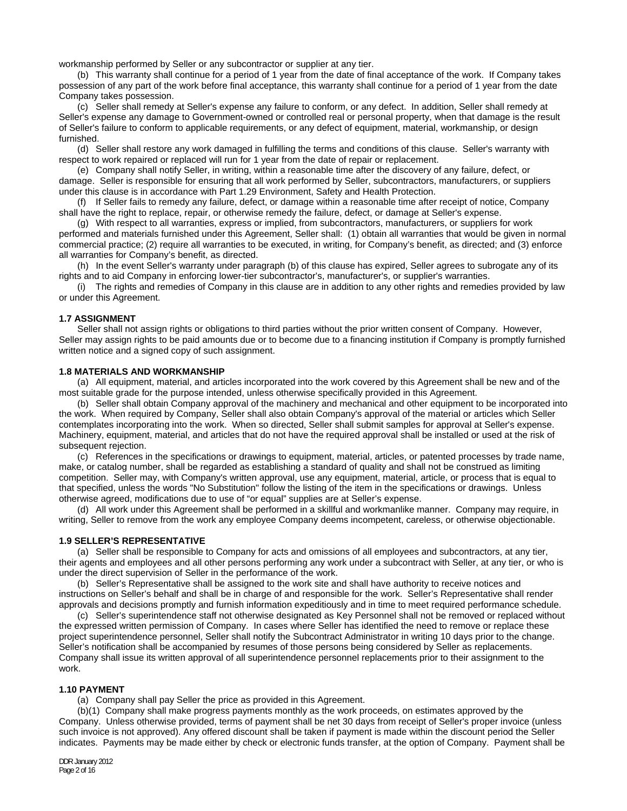workmanship performed by Seller or any subcontractor or supplier at any tier.

 (b) This warranty shall continue for a period of 1 year from the date of final acceptance of the work. If Company takes possession of any part of the work before final acceptance, this warranty shall continue for a period of 1 year from the date Company takes possession.

 (c) Seller shall remedy at Seller's expense any failure to conform, or any defect. In addition, Seller shall remedy at Seller's expense any damage to Government-owned or controlled real or personal property, when that damage is the result of Seller's failure to conform to applicable requirements, or any defect of equipment, material, workmanship, or design furnished.

 (d) Seller shall restore any work damaged in fulfilling the terms and conditions of this clause. Seller's warranty with respect to work repaired or replaced will run for 1 year from the date of repair or replacement.

 (e) Company shall notify Seller, in writing, within a reasonable time after the discovery of any failure, defect, or damage. Seller is responsible for ensuring that all work performed by Seller, subcontractors, manufacturers, or suppliers under this clause is in accordance with Part 1.29 Environment, Safety and Health Protection.

 (f) If Seller fails to remedy any failure, defect, or damage within a reasonable time after receipt of notice, Company shall have the right to replace, repair, or otherwise remedy the failure, defect, or damage at Seller's expense.

 (g) With respect to all warranties, express or implied, from subcontractors, manufacturers, or suppliers for work performed and materials furnished under this Agreement, Seller shall: (1) obtain all warranties that would be given in normal commercial practice; (2) require all warranties to be executed, in writing, for Company's benefit, as directed; and (3) enforce all warranties for Company's benefit, as directed.

 (h) In the event Seller's warranty under paragraph (b) of this clause has expired, Seller agrees to subrogate any of its rights and to aid Company in enforcing lower-tier subcontractor's, manufacturer's, or supplier's warranties.

 (i) The rights and remedies of Company in this clause are in addition to any other rights and remedies provided by law or under this Agreement.

### **1.7 ASSIGNMENT**

Seller shall not assign rights or obligations to third parties without the prior written consent of Company. However, Seller may assign rights to be paid amounts due or to become due to a financing institution if Company is promptly furnished written notice and a signed copy of such assignment.

# **1.8 MATERIALS AND WORKMANSHIP**

(a) All equipment, material, and articles incorporated into the work covered by this Agreement shall be new and of the most suitable grade for the purpose intended, unless otherwise specifically provided in this Agreement.

 (b) Seller shall obtain Company approval of the machinery and mechanical and other equipment to be incorporated into the work. When required by Company, Seller shall also obtain Company's approval of the material or articles which Seller contemplates incorporating into the work. When so directed, Seller shall submit samples for approval at Seller's expense. Machinery, equipment, material, and articles that do not have the required approval shall be installed or used at the risk of subsequent rejection.

 (c) References in the specifications or drawings to equipment, material, articles, or patented processes by trade name, make, or catalog number, shall be regarded as establishing a standard of quality and shall not be construed as limiting competition. Seller may, with Company's written approval, use any equipment, material, article, or process that is equal to that specified, unless the words "No Substitution" follow the listing of the item in the specifications or drawings. Unless otherwise agreed, modifications due to use of "or equal" supplies are at Seller's expense.

 (d) All work under this Agreement shall be performed in a skillful and workmanlike manner. Company may require, in writing, Seller to remove from the work any employee Company deems incompetent, careless, or otherwise objectionable.

#### **1.9 SELLER'S REPRESENTATIVE**

(a) Seller shall be responsible to Company for acts and omissions of all employees and subcontractors, at any tier, their agents and employees and all other persons performing any work under a subcontract with Seller, at any tier, or who is under the direct supervision of Seller in the performance of the work.

 (b) Seller's Representative shall be assigned to the work site and shall have authority to receive notices and instructions on Seller's behalf and shall be in charge of and responsible for the work. Seller's Representative shall render approvals and decisions promptly and furnish information expeditiously and in time to meet required performance schedule.

 (c) Seller's superintendence staff not otherwise designated as Key Personnel shall not be removed or replaced without the expressed written permission of Company. In cases where Seller has identified the need to remove or replace these project superintendence personnel, Seller shall notify the Subcontract Administrator in writing 10 days prior to the change. Seller's notification shall be accompanied by resumes of those persons being considered by Seller as replacements. Company shall issue its written approval of all superintendence personnel replacements prior to their assignment to the work.

#### **1.10 PAYMENT**

(a) Company shall pay Seller the price as provided in this Agreement.

(b)(1) Company shall make progress payments monthly as the work proceeds, on estimates approved by the Company. Unless otherwise provided, terms of payment shall be net 30 days from receipt of Seller's proper invoice (unless such invoice is not approved). Any offered discount shall be taken if payment is made within the discount period the Seller indicates. Payments may be made either by check or electronic funds transfer, at the option of Company. Payment shall be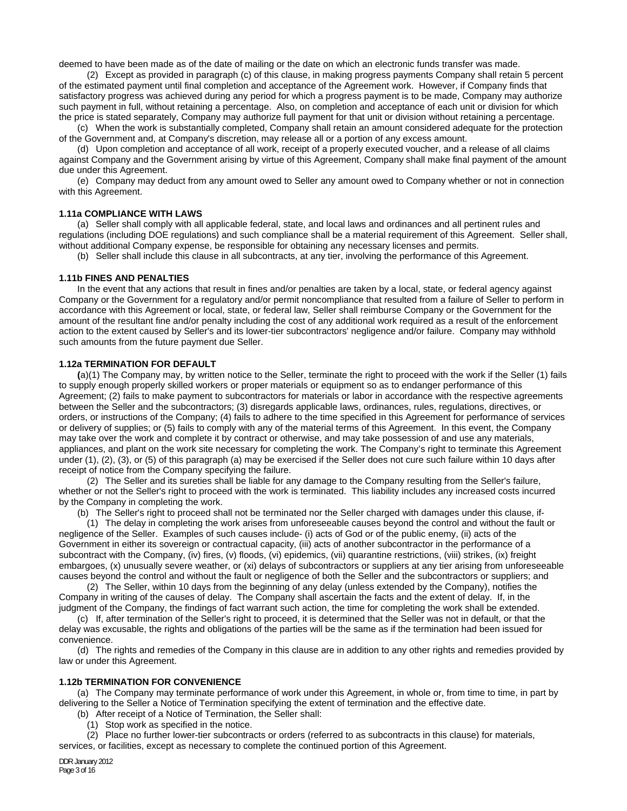deemed to have been made as of the date of mailing or the date on which an electronic funds transfer was made.

 (2) Except as provided in paragraph (c) of this clause, in making progress payments Company shall retain 5 percent of the estimated payment until final completion and acceptance of the Agreement work. However, if Company finds that satisfactory progress was achieved during any period for which a progress payment is to be made, Company may authorize such payment in full, without retaining a percentage. Also, on completion and acceptance of each unit or division for which the price is stated separately, Company may authorize full payment for that unit or division without retaining a percentage.

 (c) When the work is substantially completed, Company shall retain an amount considered adequate for the protection of the Government and, at Company's discretion, may release all or a portion of any excess amount.

(d) Upon completion and acceptance of all work, receipt of a properly executed voucher, and a release of all claims against Company and the Government arising by virtue of this Agreement, Company shall make final payment of the amount due under this Agreement.

(e) Company may deduct from any amount owed to Seller any amount owed to Company whether or not in connection with this Agreement.

## **1.11a COMPLIANCE WITH LAWS**

(a) Seller shall comply with all applicable federal, state, and local laws and ordinances and all pertinent rules and regulations (including DOE regulations) and such compliance shall be a material requirement of this Agreement. Seller shall, without additional Company expense, be responsible for obtaining any necessary licenses and permits.

(b) Seller shall include this clause in all subcontracts, at any tier, involving the performance of this Agreement.

#### **1.11b FINES AND PENALTIES**

 In the event that any actions that result in fines and/or penalties are taken by a local, state, or federal agency against Company or the Government for a regulatory and/or permit noncompliance that resulted from a failure of Seller to perform in accordance with this Agreement or local, state, or federal law, Seller shall reimburse Company or the Government for the amount of the resultant fine and/or penalty including the cost of any additional work required as a result of the enforcement action to the extent caused by Seller's and its lower-tier subcontractors' negligence and/or failure. Company may withhold such amounts from the future payment due Seller.

# **1.12a TERMINATION FOR DEFAULT**

**(**a)(1) The Company may, by written notice to the Seller, terminate the right to proceed with the work if the Seller (1) fails to supply enough properly skilled workers or proper materials or equipment so as to endanger performance of this Agreement; (2) fails to make payment to subcontractors for materials or labor in accordance with the respective agreements between the Seller and the subcontractors; (3) disregards applicable laws, ordinances, rules, regulations, directives, or orders, or instructions of the Company; (4) fails to adhere to the time specified in this Agreement for performance of services or delivery of supplies; or (5) fails to comply with any of the material terms of this Agreement. In this event, the Company may take over the work and complete it by contract or otherwise, and may take possession of and use any materials, appliances, and plant on the work site necessary for completing the work. The Company's right to terminate this Agreement under (1), (2), (3), or (5) of this paragraph (a) may be exercised if the Seller does not cure such failure within 10 days after receipt of notice from the Company specifying the failure.

 (2) The Seller and its sureties shall be liable for any damage to the Company resulting from the Seller's failure, whether or not the Seller's right to proceed with the work is terminated. This liability includes any increased costs incurred by the Company in completing the work.

(b) The Seller's right to proceed shall not be terminated nor the Seller charged with damages under this clause, if-

 (1) The delay in completing the work arises from unforeseeable causes beyond the control and without the fault or negligence of the Seller. Examples of such causes include- (i) acts of God or of the public enemy, (ii) acts of the Government in either its sovereign or contractual capacity, (iii) acts of another subcontractor in the performance of a subcontract with the Company, (iv) fires, (v) floods, (vi) epidemics, (vii) quarantine restrictions, (viii) strikes, (ix) freight embargoes, (x) unusually severe weather, or (xi) delays of subcontractors or suppliers at any tier arising from unforeseeable causes beyond the control and without the fault or negligence of both the Seller and the subcontractors or suppliers; and

 (2) The Seller, within 10 days from the beginning of any delay (unless extended by the Company), notifies the Company in writing of the causes of delay. The Company shall ascertain the facts and the extent of delay. If, in the judgment of the Company, the findings of fact warrant such action, the time for completing the work shall be extended.

 (c) If, after termination of the Seller's right to proceed, it is determined that the Seller was not in default, or that the delay was excusable, the rights and obligations of the parties will be the same as if the termination had been issued for convenience.

 (d) The rights and remedies of the Company in this clause are in addition to any other rights and remedies provided by law or under this Agreement.

## **1.12b TERMINATION FOR CONVENIENCE**

 (a) The Company may terminate performance of work under this Agreement, in whole or, from time to time, in part by delivering to the Seller a Notice of Termination specifying the extent of termination and the effective date.

(b) After receipt of a Notice of Termination, the Seller shall:

(1) Stop work as specified in the notice.

(2) Place no further lower-tier subcontracts or orders (referred to as subcontracts in this clause) for materials,

services, or facilities, except as necessary to complete the continued portion of this Agreement.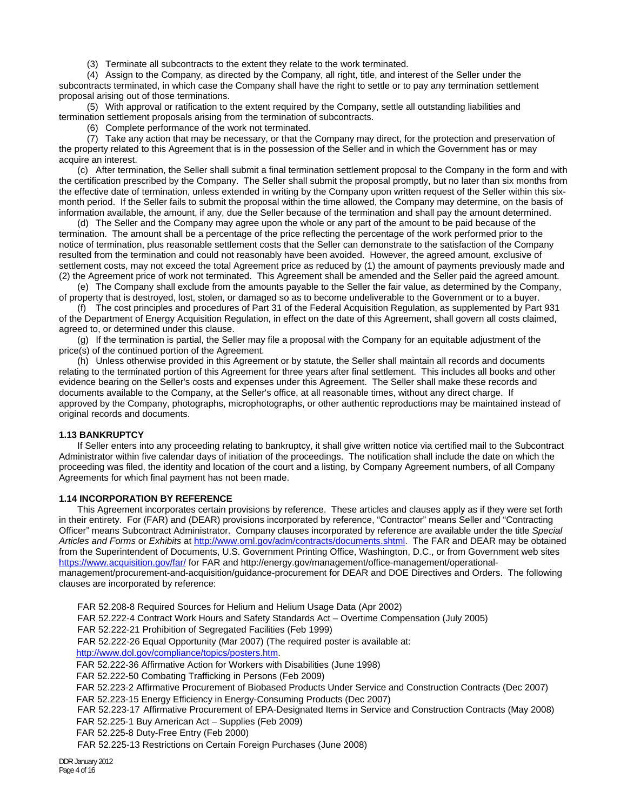(3) Terminate all subcontracts to the extent they relate to the work terminated.

 (4) Assign to the Company, as directed by the Company, all right, title, and interest of the Seller under the subcontracts terminated, in which case the Company shall have the right to settle or to pay any termination settlement proposal arising out of those terminations.

 (5) With approval or ratification to the extent required by the Company, settle all outstanding liabilities and termination settlement proposals arising from the termination of subcontracts.

(6) Complete performance of the work not terminated.

 (7) Take any action that may be necessary, or that the Company may direct, for the protection and preservation of the property related to this Agreement that is in the possession of the Seller and in which the Government has or may acquire an interest.

 (c) After termination, the Seller shall submit a final termination settlement proposal to the Company in the form and with the certification prescribed by the Company. The Seller shall submit the proposal promptly, but no later than six months from the effective date of termination, unless extended in writing by the Company upon written request of the Seller within this sixmonth period. If the Seller fails to submit the proposal within the time allowed, the Company may determine, on the basis of information available, the amount, if any, due the Seller because of the termination and shall pay the amount determined.

 (d) The Seller and the Company may agree upon the whole or any part of the amount to be paid because of the termination. The amount shall be a percentage of the price reflecting the percentage of the work performed prior to the notice of termination, plus reasonable settlement costs that the Seller can demonstrate to the satisfaction of the Company resulted from the termination and could not reasonably have been avoided. However, the agreed amount, exclusive of settlement costs, may not exceed the total Agreement price as reduced by (1) the amount of payments previously made and (2) the Agreement price of work not terminated. This Agreement shall be amended and the Seller paid the agreed amount.

 (e) The Company shall exclude from the amounts payable to the Seller the fair value, as determined by the Company, of property that is destroyed, lost, stolen, or damaged so as to become undeliverable to the Government or to a buyer.

 (f) The cost principles and procedures of Part 31 of the Federal Acquisition Regulation, as supplemented by Part 931 of the Department of Energy Acquisition Regulation, in effect on the date of this Agreement, shall govern all costs claimed, agreed to, or determined under this clause.

 (g) If the termination is partial, the Seller may file a proposal with the Company for an equitable adjustment of the price(s) of the continued portion of the Agreement.

 (h) Unless otherwise provided in this Agreement or by statute, the Seller shall maintain all records and documents relating to the terminated portion of this Agreement for three years after final settlement. This includes all books and other evidence bearing on the Seller's costs and expenses under this Agreement. The Seller shall make these records and documents available to the Company, at the Seller's office, at all reasonable times, without any direct charge. If approved by the Company, photographs, microphotographs, or other authentic reproductions may be maintained instead of original records and documents.

# **1.13 BANKRUPTCY**

If Seller enters into any proceeding relating to bankruptcy, it shall give written notice via certified mail to the Subcontract Administrator within five calendar days of initiation of the proceedings. The notification shall include the date on which the proceeding was filed, the identity and location of the court and a listing, by Company Agreement numbers, of all Company Agreements for which final payment has not been made.

# **1.14 INCORPORATION BY REFERENCE**

 This Agreement incorporates certain provisions by reference. These articles and clauses apply as if they were set forth in their entirety. For (FAR) and (DEAR) provisions incorporated by reference, "Contractor" means Seller and "Contracting Officer" means Subcontract Administrator. Company clauses incorporated by reference are available under the title *Special Articles and Forms* or *Exhibits* at http://www.ornl.gov/adm/contracts/documents.shtml. The FAR and DEAR may be obtained from the Superintendent of Documents, U.S. Government Printing Office, Washington, D.C., or from Government web sites https://www.acquisition.gov/far/ for FAR and http://energy.gov/management/office-management/operationalmanagement/procurement-and-acquisition/guidance-procurement for DEAR and DOE Directives and Orders. The following clauses are incorporated by reference:

FAR 52.208-8 Required Sources for Helium and Helium Usage Data (Apr 2002) FAR 52.222-4 Contract Work Hours and Safety Standards Act – Overtime Compensation (July 2005) FAR 52.222-21 Prohibition of Segregated Facilities (Feb 1999) FAR 52.222-26 Equal Opportunity (Mar 2007) (The required poster is available at: http://www.dol.gov/compliance/topics/posters.htm. FAR 52.222-36 Affirmative Action for Workers with Disabilities (June 1998) FAR 52.222-50 Combating Trafficking in Persons (Feb 2009) FAR 52.223-2 Affirmative Procurement of Biobased Products Under Service and Construction Contracts (Dec 2007) FAR 52.223-15 Energy Efficiency in Energy-Consuming Products (Dec 2007) FAR 52.223-17 Affirmative Procurement of EPA-Designated Items in Service and Construction Contracts (May 2008) FAR 52.225-1 Buy American Act – Supplies (Feb 2009) FAR 52.225-8 Duty-Free Entry (Feb 2000) FAR 52.225-13 Restrictions on Certain Foreign Purchases (June 2008)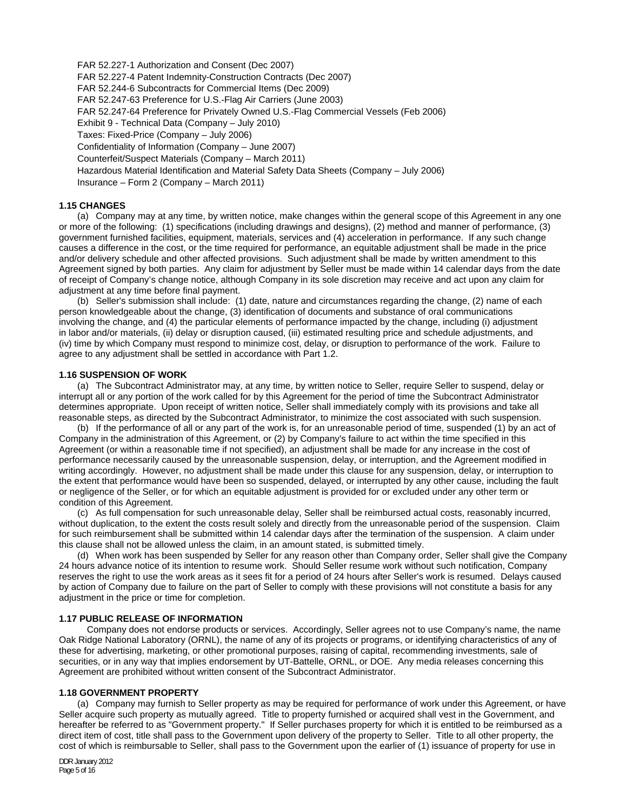FAR 52.227-1 Authorization and Consent (Dec 2007) FAR 52.227-4 Patent Indemnity-Construction Contracts (Dec 2007) FAR 52.244-6 Subcontracts for Commercial Items (Dec 2009) FAR 52.247-63 Preference for U.S.-Flag Air Carriers (June 2003) FAR 52.247-64 Preference for Privately Owned U.S.-Flag Commercial Vessels (Feb 2006) Exhibit 9 - Technical Data (Company – July 2010) Taxes: Fixed-Price (Company – July 2006) Confidentiality of Information (Company – June 2007) Counterfeit/Suspect Materials (Company – March 2011) Hazardous Material Identification and Material Safety Data Sheets (Company – July 2006) Insurance – Form 2 (Company – March 2011)

# **1.15 CHANGES**

(a) Company may at any time, by written notice, make changes within the general scope of this Agreement in any one or more of the following: (1) specifications (including drawings and designs), (2) method and manner of performance, (3) government furnished facilities, equipment, materials, services and (4) acceleration in performance. If any such change causes a difference in the cost, or the time required for performance, an equitable adjustment shall be made in the price and/or delivery schedule and other affected provisions. Such adjustment shall be made by written amendment to this Agreement signed by both parties. Any claim for adjustment by Seller must be made within 14 calendar days from the date of receipt of Company's change notice, although Company in its sole discretion may receive and act upon any claim for adjustment at any time before final payment.

(b) Seller's submission shall include: (1) date, nature and circumstances regarding the change, (2) name of each person knowledgeable about the change, (3) identification of documents and substance of oral communications involving the change, and (4) the particular elements of performance impacted by the change, including (i) adjustment in labor and/or materials, (ii) delay or disruption caused, (iii) estimated resulting price and schedule adjustments, and (iv) time by which Company must respond to minimize cost, delay, or disruption to performance of the work. Failure to agree to any adjustment shall be settled in accordance with Part 1.2.

### **1.16 SUSPENSION OF WORK**

(a) The Subcontract Administrator may, at any time, by written notice to Seller, require Seller to suspend, delay or interrupt all or any portion of the work called for by this Agreement for the period of time the Subcontract Administrator determines appropriate. Upon receipt of written notice, Seller shall immediately comply with its provisions and take all reasonable steps, as directed by the Subcontract Administrator, to minimize the cost associated with such suspension.

 (b) If the performance of all or any part of the work is, for an unreasonable period of time, suspended (1) by an act of Company in the administration of this Agreement, or (2) by Company's failure to act within the time specified in this Agreement (or within a reasonable time if not specified), an adjustment shall be made for any increase in the cost of performance necessarily caused by the unreasonable suspension, delay, or interruption, and the Agreement modified in writing accordingly. However, no adjustment shall be made under this clause for any suspension, delay, or interruption to the extent that performance would have been so suspended, delayed, or interrupted by any other cause, including the fault or negligence of the Seller, or for which an equitable adjustment is provided for or excluded under any other term or condition of this Agreement.

 (c) As full compensation for such unreasonable delay, Seller shall be reimbursed actual costs, reasonably incurred, without duplication, to the extent the costs result solely and directly from the unreasonable period of the suspension. Claim for such reimbursement shall be submitted within 14 calendar days after the termination of the suspension. A claim under this clause shall not be allowed unless the claim, in an amount stated, is submitted timely.

 (d) When work has been suspended by Seller for any reason other than Company order, Seller shall give the Company 24 hours advance notice of its intention to resume work. Should Seller resume work without such notification, Company reserves the right to use the work areas as it sees fit for a period of 24 hours after Seller's work is resumed. Delays caused by action of Company due to failure on the part of Seller to comply with these provisions will not constitute a basis for any adjustment in the price or time for completion.

### **1.17 PUBLIC RELEASE OF INFORMATION**

 Company does not endorse products or services. Accordingly, Seller agrees not to use Company's name, the name Oak Ridge National Laboratory (ORNL), the name of any of its projects or programs, or identifying characteristics of any of these for advertising, marketing, or other promotional purposes, raising of capital, recommending investments, sale of securities, or in any way that implies endorsement by UT-Battelle, ORNL, or DOE. Any media releases concerning this Agreement are prohibited without written consent of the Subcontract Administrator.

### **1.18 GOVERNMENT PROPERTY**

(a) Company may furnish to Seller property as may be required for performance of work under this Agreement, or have Seller acquire such property as mutually agreed. Title to property furnished or acquired shall vest in the Government, and hereafter be referred to as "Government property." If Seller purchases property for which it is entitled to be reimbursed as a direct item of cost, title shall pass to the Government upon delivery of the property to Seller. Title to all other property, the cost of which is reimbursable to Seller, shall pass to the Government upon the earlier of (1) issuance of property for use in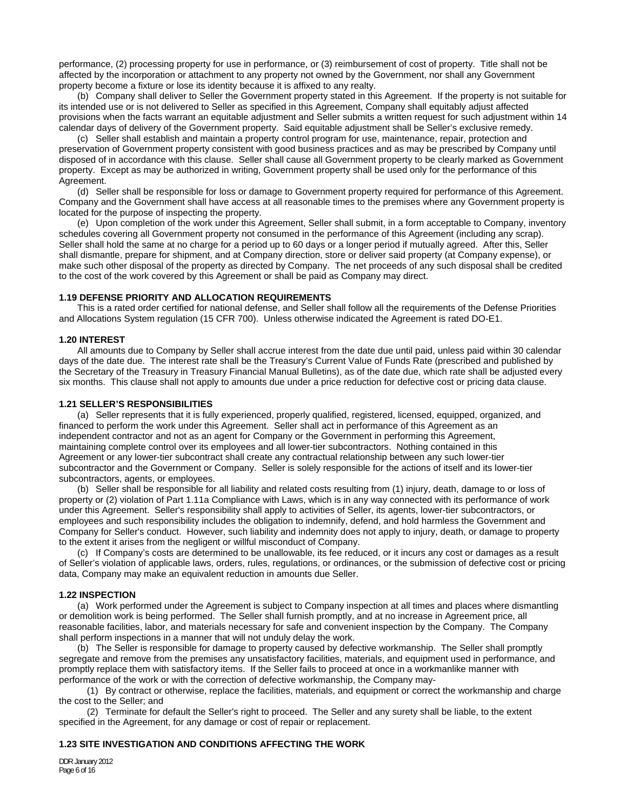performance, (2) processing property for use in performance, or (3) reimbursement of cost of property. Title shall not be affected by the incorporation or attachment to any property not owned by the Government, nor shall any Government property become a fixture or lose its identity because it is affixed to any realty.

 (b) Company shall deliver to Seller the Government property stated in this Agreement. If the property is not suitable for its intended use or is not delivered to Seller as specified in this Agreement, Company shall equitably adjust affected provisions when the facts warrant an equitable adjustment and Seller submits a written request for such adjustment within 14 calendar days of delivery of the Government property. Said equitable adjustment shall be Seller's exclusive remedy.

 (c) Seller shall establish and maintain a property control program for use, maintenance, repair, protection and preservation of Government property consistent with good business practices and as may be prescribed by Company until disposed of in accordance with this clause. Seller shall cause all Government property to be clearly marked as Government property. Except as may be authorized in writing, Government property shall be used only for the performance of this Agreement.

 (d) Seller shall be responsible for loss or damage to Government property required for performance of this Agreement. Company and the Government shall have access at all reasonable times to the premises where any Government property is located for the purpose of inspecting the property.

 (e) Upon completion of the work under this Agreement, Seller shall submit, in a form acceptable to Company, inventory schedules covering all Government property not consumed in the performance of this Agreement (including any scrap). Seller shall hold the same at no charge for a period up to 60 days or a longer period if mutually agreed. After this, Seller shall dismantle, prepare for shipment, and at Company direction, store or deliver said property (at Company expense), or make such other disposal of the property as directed by Company. The net proceeds of any such disposal shall be credited to the cost of the work covered by this Agreement or shall be paid as Company may direct.

#### **1.19 DEFENSE PRIORITY AND ALLOCATION REQUIREMENTS**

This is a rated order certified for national defense, and Seller shall follow all the requirements of the Defense Priorities and Allocations System regulation (15 CFR 700). Unless otherwise indicated the Agreement is rated DO-E1.

## **1.20 INTEREST**

All amounts due to Company by Seller shall accrue interest from the date due until paid, unless paid within 30 calendar days of the date due. The interest rate shall be the Treasury's Current Value of Funds Rate (prescribed and published by the Secretary of the Treasury in Treasury Financial Manual Bulletins), as of the date due, which rate shall be adjusted every six months. This clause shall not apply to amounts due under a price reduction for defective cost or pricing data clause.

### **1.21 SELLER'S RESPONSIBILITIES**

(a) Seller represents that it is fully experienced, properly qualified, registered, licensed, equipped, organized, and financed to perform the work under this Agreement. Seller shall act in performance of this Agreement as an independent contractor and not as an agent for Company or the Government in performing this Agreement, maintaining complete control over its employees and all lower-tier subcontractors. Nothing contained in this Agreement or any lower-tier subcontract shall create any contractual relationship between any such lower-tier subcontractor and the Government or Company. Seller is solely responsible for the actions of itself and its lower-tier subcontractors, agents, or employees.

 (b) Seller shall be responsible for all liability and related costs resulting from (1) injury, death, damage to or loss of property or (2) violation of Part 1.11a Compliance with Laws, which is in any way connected with its performance of work under this Agreement. Seller's responsibility shall apply to activities of Seller, its agents, lower-tier subcontractors, or employees and such responsibility includes the obligation to indemnify, defend, and hold harmless the Government and Company for Seller's conduct. However, such liability and indemnity does not apply to injury, death, or damage to property to the extent it arises from the negligent or willful misconduct of Company.

 (c) If Company's costs are determined to be unallowable, its fee reduced, or it incurs any cost or damages as a result of Seller's violation of applicable laws, orders, rules, regulations, or ordinances, or the submission of defective cost or pricing data, Company may make an equivalent reduction in amounts due Seller.

### **1.22 INSPECTION**

(a) Work performed under the Agreement is subject to Company inspection at all times and places where dismantling or demolition work is being performed. The Seller shall furnish promptly, and at no increase in Agreement price, all reasonable facilities, labor, and materials necessary for safe and convenient inspection by the Company. The Company shall perform inspections in a manner that will not unduly delay the work.

 (b) The Seller is responsible for damage to property caused by defective workmanship. The Seller shall promptly segregate and remove from the premises any unsatisfactory facilities, materials, and equipment used in performance, and promptly replace them with satisfactory items. If the Seller fails to proceed at once in a workmanlike manner with performance of the work or with the correction of defective workmanship, the Company may-

 (1) By contract or otherwise, replace the facilities, materials, and equipment or correct the workmanship and charge the cost to the Seller; and

 (2) Terminate for default the Seller's right to proceed. The Seller and any surety shall be liable, to the extent specified in the Agreement, for any damage or cost of repair or replacement.

# **1.23 SITE INVESTIGATION AND CONDITIONS AFFECTING THE WORK**

DDR January 2012 Page 6 of 16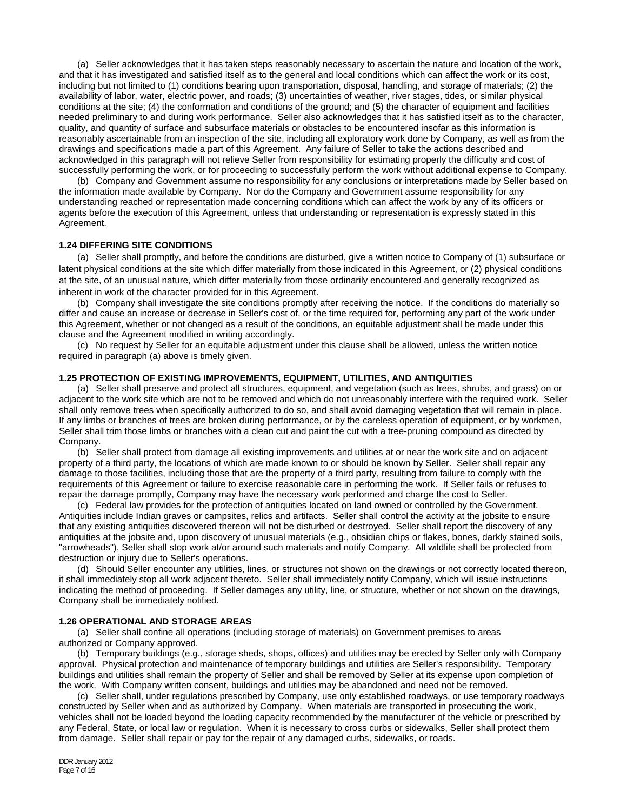(a) Seller acknowledges that it has taken steps reasonably necessary to ascertain the nature and location of the work, and that it has investigated and satisfied itself as to the general and local conditions which can affect the work or its cost, including but not limited to (1) conditions bearing upon transportation, disposal, handling, and storage of materials; (2) the availability of labor, water, electric power, and roads; (3) uncertainties of weather, river stages, tides, or similar physical conditions at the site; (4) the conformation and conditions of the ground; and (5) the character of equipment and facilities needed preliminary to and during work performance. Seller also acknowledges that it has satisfied itself as to the character, quality, and quantity of surface and subsurface materials or obstacles to be encountered insofar as this information is reasonably ascertainable from an inspection of the site, including all exploratory work done by Company, as well as from the drawings and specifications made a part of this Agreement. Any failure of Seller to take the actions described and acknowledged in this paragraph will not relieve Seller from responsibility for estimating properly the difficulty and cost of successfully performing the work, or for proceeding to successfully perform the work without additional expense to Company.

(b) Company and Government assume no responsibility for any conclusions or interpretations made by Seller based on the information made available by Company. Nor do the Company and Government assume responsibility for any understanding reached or representation made concerning conditions which can affect the work by any of its officers or agents before the execution of this Agreement, unless that understanding or representation is expressly stated in this Agreement.

#### **1.24 DIFFERING SITE CONDITIONS**

(a) Seller shall promptly, and before the conditions are disturbed, give a written notice to Company of (1) subsurface or latent physical conditions at the site which differ materially from those indicated in this Agreement, or (2) physical conditions at the site, of an unusual nature, which differ materially from those ordinarily encountered and generally recognized as inherent in work of the character provided for in this Agreement.

 (b) Company shall investigate the site conditions promptly after receiving the notice. If the conditions do materially so differ and cause an increase or decrease in Seller's cost of, or the time required for, performing any part of the work under this Agreement, whether or not changed as a result of the conditions, an equitable adjustment shall be made under this clause and the Agreement modified in writing accordingly.

 (c) No request by Seller for an equitable adjustment under this clause shall be allowed, unless the written notice required in paragraph (a) above is timely given.

# **1.25 PROTECTION OF EXISTING IMPROVEMENTS, EQUIPMENT, UTILITIES, AND ANTIQUITIES**

 (a) Seller shall preserve and protect all structures, equipment, and vegetation (such as trees, shrubs, and grass) on or adjacent to the work site which are not to be removed and which do not unreasonably interfere with the required work. Seller shall only remove trees when specifically authorized to do so, and shall avoid damaging vegetation that will remain in place. If any limbs or branches of trees are broken during performance, or by the careless operation of equipment, or by workmen, Seller shall trim those limbs or branches with a clean cut and paint the cut with a tree-pruning compound as directed by Company.

 (b) Seller shall protect from damage all existing improvements and utilities at or near the work site and on adjacent property of a third party, the locations of which are made known to or should be known by Seller. Seller shall repair any damage to those facilities, including those that are the property of a third party, resulting from failure to comply with the requirements of this Agreement or failure to exercise reasonable care in performing the work. If Seller fails or refuses to repair the damage promptly, Company may have the necessary work performed and charge the cost to Seller.

 (c) Federal law provides for the protection of antiquities located on land owned or controlled by the Government. Antiquities include Indian graves or campsites, relics and artifacts. Seller shall control the activity at the jobsite to ensure that any existing antiquities discovered thereon will not be disturbed or destroyed. Seller shall report the discovery of any antiquities at the jobsite and, upon discovery of unusual materials (e.g., obsidian chips or flakes, bones, darkly stained soils, "arrowheads"), Seller shall stop work at/or around such materials and notify Company. All wildlife shall be protected from destruction or injury due to Seller's operations.

 (d) Should Seller encounter any utilities, lines, or structures not shown on the drawings or not correctly located thereon, it shall immediately stop all work adjacent thereto. Seller shall immediately notify Company, which will issue instructions indicating the method of proceeding. If Seller damages any utility, line, or structure, whether or not shown on the drawings, Company shall be immediately notified.

#### **1.26 OPERATIONAL AND STORAGE AREAS**

(a) Seller shall confine all operations (including storage of materials) on Government premises to areas authorized or Company approved.

 (b) Temporary buildings (e.g., storage sheds, shops, offices) and utilities may be erected by Seller only with Company approval. Physical protection and maintenance of temporary buildings and utilities are Seller's responsibility. Temporary buildings and utilities shall remain the property of Seller and shall be removed by Seller at its expense upon completion of the work. With Company written consent, buildings and utilities may be abandoned and need not be removed.

 (c) Seller shall, under regulations prescribed by Company, use only established roadways, or use temporary roadways constructed by Seller when and as authorized by Company. When materials are transported in prosecuting the work, vehicles shall not be loaded beyond the loading capacity recommended by the manufacturer of the vehicle or prescribed by any Federal, State, or local law or regulation. When it is necessary to cross curbs or sidewalks, Seller shall protect them from damage. Seller shall repair or pay for the repair of any damaged curbs, sidewalks, or roads.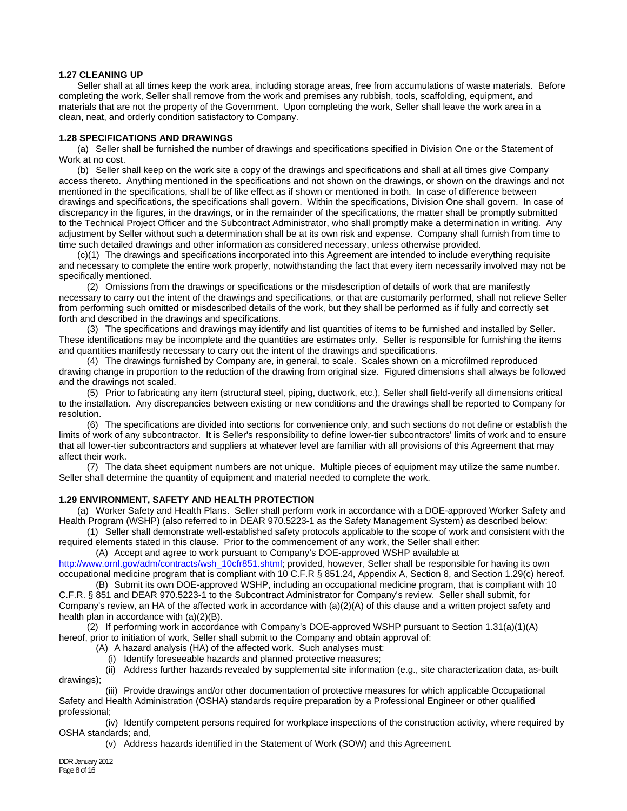### **1.27 CLEANING UP**

Seller shall at all times keep the work area, including storage areas, free from accumulations of waste materials. Before completing the work, Seller shall remove from the work and premises any rubbish, tools, scaffolding, equipment, and materials that are not the property of the Government. Upon completing the work, Seller shall leave the work area in a clean, neat, and orderly condition satisfactory to Company.

### **1.28 SPECIFICATIONS AND DRAWINGS**

(a) Seller shall be furnished the number of drawings and specifications specified in Division One or the Statement of Work at no cost.

(b) Seller shall keep on the work site a copy of the drawings and specifications and shall at all times give Company access thereto. Anything mentioned in the specifications and not shown on the drawings, or shown on the drawings and not mentioned in the specifications, shall be of like effect as if shown or mentioned in both. In case of difference between drawings and specifications, the specifications shall govern. Within the specifications, Division One shall govern. In case of discrepancy in the figures, in the drawings, or in the remainder of the specifications, the matter shall be promptly submitted to the Technical Project Officer and the Subcontract Administrator, who shall promptly make a determination in writing. Any adjustment by Seller without such a determination shall be at its own risk and expense. Company shall furnish from time to time such detailed drawings and other information as considered necessary, unless otherwise provided.

(c)(1) The drawings and specifications incorporated into this Agreement are intended to include everything requisite and necessary to complete the entire work properly, notwithstanding the fact that every item necessarily involved may not be specifically mentioned.

 (2) Omissions from the drawings or specifications or the misdescription of details of work that are manifestly necessary to carry out the intent of the drawings and specifications, or that are customarily performed, shall not relieve Seller from performing such omitted or misdescribed details of the work, but they shall be performed as if fully and correctly set forth and described in the drawings and specifications.

 (3) The specifications and drawings may identify and list quantities of items to be furnished and installed by Seller. These identifications may be incomplete and the quantities are estimates only. Seller is responsible for furnishing the items and quantities manifestly necessary to carry out the intent of the drawings and specifications.

 (4) The drawings furnished by Company are, in general, to scale. Scales shown on a microfilmed reproduced drawing change in proportion to the reduction of the drawing from original size. Figured dimensions shall always be followed and the drawings not scaled.

 (5) Prior to fabricating any item (structural steel, piping, ductwork, etc.), Seller shall field-verify all dimensions critical to the installation. Any discrepancies between existing or new conditions and the drawings shall be reported to Company for resolution.

 (6) The specifications are divided into sections for convenience only, and such sections do not define or establish the limits of work of any subcontractor. It is Seller's responsibility to define lower-tier subcontractors' limits of work and to ensure that all lower-tier subcontractors and suppliers at whatever level are familiar with all provisions of this Agreement that may affect their work.

 (7) The data sheet equipment numbers are not unique. Multiple pieces of equipment may utilize the same number. Seller shall determine the quantity of equipment and material needed to complete the work.

# **1.29 ENVIRONMENT, SAFETY AND HEALTH PROTECTION**

(a) Worker Safety and Health Plans. Seller shall perform work in accordance with a DOE-approved Worker Safety and Health Program (WSHP) (also referred to in DEAR 970.5223-1 as the Safety Management System) as described below:

 (1) Seller shall demonstrate well-established safety protocols applicable to the scope of work and consistent with the required elements stated in this clause. Prior to the commencement of any work, the Seller shall either:

(A) Accept and agree to work pursuant to Company's DOE-approved WSHP available at

http://www.ornl.gov/adm/contracts/wsh\_10cfr851.shtml; provided, however, Seller shall be responsible for having its own occupational medicine program that is compliant with 10 C.F.R § 851.24, Appendix A, Section 8, and Section 1.29(c) hereof. (B) Submit its own DOE-approved WSHP, including an occupational medicine program, that is compliant with 10

C.F.R. § 851 and DEAR 970.5223-1 to the Subcontract Administrator for Company's review. Seller shall submit, for Company's review, an HA of the affected work in accordance with (a)(2)(A) of this clause and a written project safety and health plan in accordance with (a)(2)(B).

 (2) If performing work in accordance with Company's DOE-approved WSHP pursuant to Section 1.31(a)(1)(A) hereof, prior to initiation of work, Seller shall submit to the Company and obtain approval of:

(A) A hazard analysis (HA) of the affected work. Such analyses must:

(i) Identify foreseeable hazards and planned protective measures;

 (ii) Address further hazards revealed by supplemental site information (e.g., site characterization data, as-built drawings);

 (iii) Provide drawings and/or other documentation of protective measures for which applicable Occupational Safety and Health Administration (OSHA) standards require preparation by a Professional Engineer or other qualified professional;

 (iv) Identify competent persons required for workplace inspections of the construction activity, where required by OSHA standards; and,

(v) Address hazards identified in the Statement of Work (SOW) and this Agreement.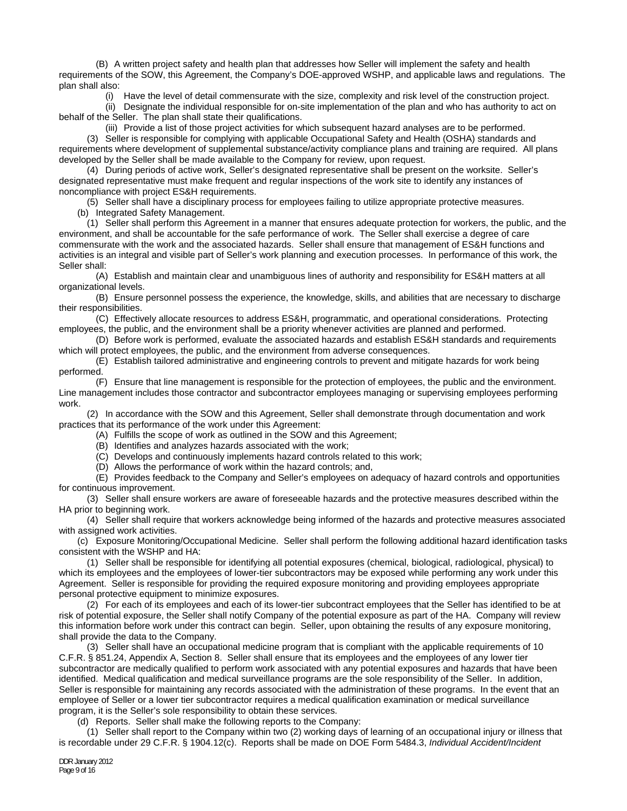(B) A written project safety and health plan that addresses how Seller will implement the safety and health requirements of the SOW, this Agreement, the Company's DOE-approved WSHP, and applicable laws and regulations. The plan shall also:

(i) Have the level of detail commensurate with the size, complexity and risk level of the construction project.

 (ii) Designate the individual responsible for on-site implementation of the plan and who has authority to act on behalf of the Seller. The plan shall state their qualifications.

 (iii) Provide a list of those project activities for which subsequent hazard analyses are to be performed. (3) Seller is responsible for complying with applicable Occupational Safety and Health (OSHA) standards and requirements where development of supplemental substance/activity compliance plans and training are required. All plans developed by the Seller shall be made available to the Company for review, upon request.

 (4) During periods of active work, Seller's designated representative shall be present on the worksite. Seller's designated representative must make frequent and regular inspections of the work site to identify any instances of noncompliance with project ES&H requirements.

(5) Seller shall have a disciplinary process for employees failing to utilize appropriate protective measures.

(b) Integrated Safety Management.

 (1) Seller shall perform this Agreement in a manner that ensures adequate protection for workers, the public, and the environment, and shall be accountable for the safe performance of work. The Seller shall exercise a degree of care commensurate with the work and the associated hazards. Seller shall ensure that management of ES&H functions and activities is an integral and visible part of Seller's work planning and execution processes. In performance of this work, the Seller shall:

 (A) Establish and maintain clear and unambiguous lines of authority and responsibility for ES&H matters at all organizational levels.

 (B) Ensure personnel possess the experience, the knowledge, skills, and abilities that are necessary to discharge their responsibilities.

 (C) Effectively allocate resources to address ES&H, programmatic, and operational considerations. Protecting employees, the public, and the environment shall be a priority whenever activities are planned and performed.

 (D) Before work is performed, evaluate the associated hazards and establish ES&H standards and requirements which will protect employees, the public, and the environment from adverse consequences.

 (E) Establish tailored administrative and engineering controls to prevent and mitigate hazards for work being performed.

 (F) Ensure that line management is responsible for the protection of employees, the public and the environment. Line management includes those contractor and subcontractor employees managing or supervising employees performing work.

 (2) In accordance with the SOW and this Agreement, Seller shall demonstrate through documentation and work practices that its performance of the work under this Agreement:

(A) Fulfills the scope of work as outlined in the SOW and this Agreement;

(B) Identifies and analyzes hazards associated with the work;

(C) Develops and continuously implements hazard controls related to this work;

(D) Allows the performance of work within the hazard controls; and,

 (E) Provides feedback to the Company and Seller's employees on adequacy of hazard controls and opportunities for continuous improvement.

 (3) Seller shall ensure workers are aware of foreseeable hazards and the protective measures described within the HA prior to beginning work.

 (4) Seller shall require that workers acknowledge being informed of the hazards and protective measures associated with assigned work activities.

 (c) Exposure Monitoring/Occupational Medicine. Seller shall perform the following additional hazard identification tasks consistent with the WSHP and HA:

 (1) Seller shall be responsible for identifying all potential exposures (chemical, biological, radiological, physical) to which its employees and the employees of lower-tier subcontractors may be exposed while performing any work under this Agreement. Seller is responsible for providing the required exposure monitoring and providing employees appropriate personal protective equipment to minimize exposures.

 (2) For each of its employees and each of its lower-tier subcontract employees that the Seller has identified to be at risk of potential exposure, the Seller shall notify Company of the potential exposure as part of the HA. Company will review this information before work under this contract can begin. Seller, upon obtaining the results of any exposure monitoring, shall provide the data to the Company.

 (3) Seller shall have an occupational medicine program that is compliant with the applicable requirements of 10 C.F.R. § 851.24, Appendix A, Section 8. Seller shall ensure that its employees and the employees of any lower tier subcontractor are medically qualified to perform work associated with any potential exposures and hazards that have been identified. Medical qualification and medical surveillance programs are the sole responsibility of the Seller. In addition, Seller is responsible for maintaining any records associated with the administration of these programs. In the event that an employee of Seller or a lower tier subcontractor requires a medical qualification examination or medical surveillance program, it is the Seller's sole responsibility to obtain these services.

(d) Reports. Seller shall make the following reports to the Company:

 (1) Seller shall report to the Company within two (2) working days of learning of an occupational injury or illness that is recordable under 29 C.F.R. § 1904.12(c). Reports shall be made on DOE Form 5484.3, *Individual Accident/Incident*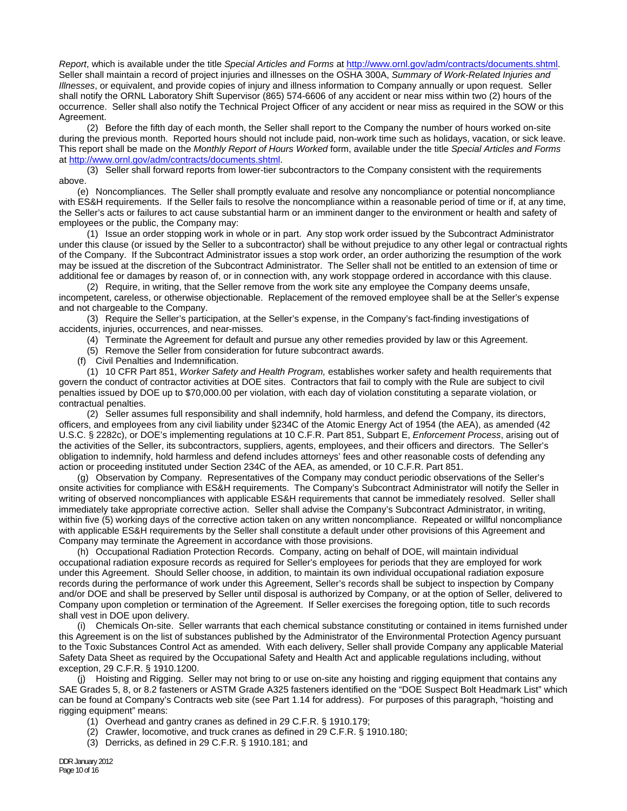*Report*, which is available under the title *Special Articles and Forms* at http://www.ornl.gov/adm/contracts/documents.shtml. Seller shall maintain a record of project injuries and illnesses on the OSHA 300A, *Summary of Work-Related Injuries and Illnesses*, or equivalent, and provide copies of injury and illness information to Company annually or upon request. Seller shall notify the ORNL Laboratory Shift Supervisor (865) 574-6606 of any accident or near miss within two (2) hours of the occurrence. Seller shall also notify the Technical Project Officer of any accident or near miss as required in the SOW or this Agreement.

 (2) Before the fifth day of each month, the Seller shall report to the Company the number of hours worked on-site during the previous month. Reported hours should not include paid, non-work time such as holidays, vacation, or sick leave. This report shall be made on the *Monthly Report of Hours Worked* form, available under the title *Special Articles and Forms*  at http://www.ornl.gov/adm/contracts/documents.shtml.

 (3) Seller shall forward reports from lower-tier subcontractors to the Company consistent with the requirements above.

 (e) Noncompliances. The Seller shall promptly evaluate and resolve any noncompliance or potential noncompliance with ES&H requirements. If the Seller fails to resolve the noncompliance within a reasonable period of time or if, at any time, the Seller's acts or failures to act cause substantial harm or an imminent danger to the environment or health and safety of employees or the public, the Company may:

 (1) Issue an order stopping work in whole or in part. Any stop work order issued by the Subcontract Administrator under this clause (or issued by the Seller to a subcontractor) shall be without prejudice to any other legal or contractual rights of the Company. If the Subcontract Administrator issues a stop work order, an order authorizing the resumption of the work may be issued at the discretion of the Subcontract Administrator. The Seller shall not be entitled to an extension of time or additional fee or damages by reason of, or in connection with, any work stoppage ordered in accordance with this clause.

 (2) Require, in writing, that the Seller remove from the work site any employee the Company deems unsafe, incompetent, careless, or otherwise objectionable. Replacement of the removed employee shall be at the Seller's expense and not chargeable to the Company.

 (3) Require the Seller's participation, at the Seller's expense, in the Company's fact-finding investigations of accidents, injuries, occurrences, and near-misses.

(4) Terminate the Agreement for default and pursue any other remedies provided by law or this Agreement.

(5) Remove the Seller from consideration for future subcontract awards.

(f) Civil Penalties and Indemnification.

 (1) 10 CFR Part 851, *Worker Safety and Health Program,* establishes worker safety and health requirements that govern the conduct of contractor activities at DOE sites. Contractors that fail to comply with the Rule are subject to civil penalties issued by DOE up to \$70,000.00 per violation, with each day of violation constituting a separate violation, or contractual penalties.

 (2) Seller assumes full responsibility and shall indemnify, hold harmless, and defend the Company, its directors, officers, and employees from any civil liability under §234C of the Atomic Energy Act of 1954 (the AEA), as amended (42 U.S.C. § 2282c), or DOE's implementing regulations at 10 C.F.R. Part 851, Subpart E, *Enforcement Process*, arising out of the activities of the Seller, its subcontractors, suppliers, agents, employees, and their officers and directors. The Seller's obligation to indemnify, hold harmless and defend includes attorneys' fees and other reasonable costs of defending any action or proceeding instituted under Section 234C of the AEA, as amended, or 10 C.F.R. Part 851.

 (g) Observation by Company. Representatives of the Company may conduct periodic observations of the Seller's onsite activities for compliance with ES&H requirements. The Company's Subcontract Administrator will notify the Seller in writing of observed noncompliances with applicable ES&H requirements that cannot be immediately resolved. Seller shall immediately take appropriate corrective action. Seller shall advise the Company's Subcontract Administrator, in writing, within five (5) working days of the corrective action taken on any written noncompliance. Repeated or willful noncompliance with applicable ES&H requirements by the Seller shall constitute a default under other provisions of this Agreement and Company may terminate the Agreement in accordance with those provisions.

 (h) Occupational Radiation Protection Records. Company, acting on behalf of DOE, will maintain individual occupational radiation exposure records as required for Seller's employees for periods that they are employed for work under this Agreement. Should Seller choose, in addition, to maintain its own individual occupational radiation exposure records during the performance of work under this Agreement, Seller's records shall be subject to inspection by Company and/or DOE and shall be preserved by Seller until disposal is authorized by Company, or at the option of Seller, delivered to Company upon completion or termination of the Agreement. If Seller exercises the foregoing option, title to such records shall vest in DOE upon delivery.

 (i) Chemicals On-site. Seller warrants that each chemical substance constituting or contained in items furnished under this Agreement is on the list of substances published by the Administrator of the Environmental Protection Agency pursuant to the Toxic Substances Control Act as amended. With each delivery, Seller shall provide Company any applicable Material Safety Data Sheet as required by the Occupational Safety and Health Act and applicable regulations including, without exception, 29 C.F.R. § 1910.1200.

 (j) Hoisting and Rigging. Seller may not bring to or use on-site any hoisting and rigging equipment that contains any SAE Grades 5, 8, or 8.2 fasteners or ASTM Grade A325 fasteners identified on the "DOE Suspect Bolt Headmark List" which can be found at Company's Contracts web site (see Part 1.14 for address). For purposes of this paragraph, "hoisting and rigging equipment" means:

- (1) Overhead and gantry cranes as defined in 29 C.F.R. § 1910.179;
- (2) Crawler, locomotive, and truck cranes as defined in 29 C.F.R. § 1910.180;
- (3) Derricks, as defined in 29 C.F.R. § 1910.181; and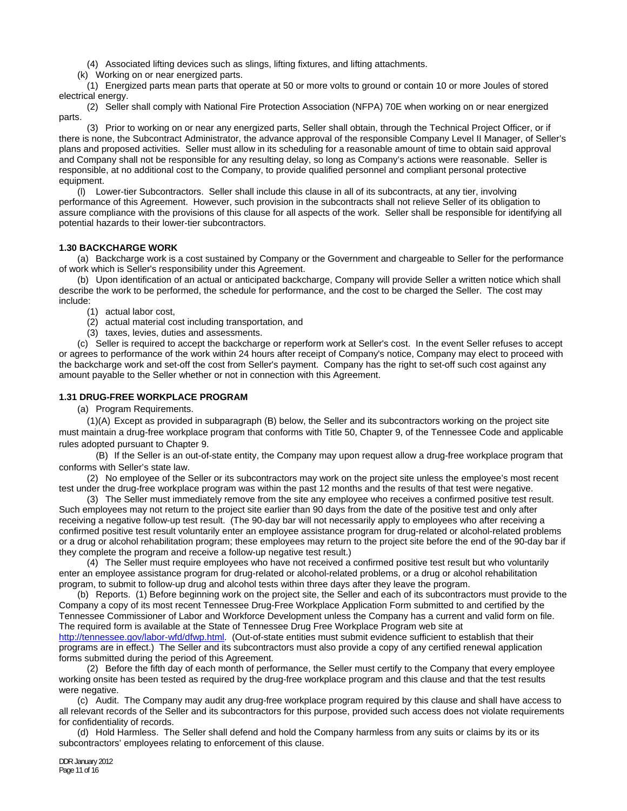(4) Associated lifting devices such as slings, lifting fixtures, and lifting attachments.

(k) Working on or near energized parts.

 (1) Energized parts mean parts that operate at 50 or more volts to ground or contain 10 or more Joules of stored electrical energy.

 (2) Seller shall comply with National Fire Protection Association (NFPA) 70E when working on or near energized parts.

 (3) Prior to working on or near any energized parts, Seller shall obtain, through the Technical Project Officer, or if there is none, the Subcontract Administrator, the advance approval of the responsible Company Level II Manager, of Seller's plans and proposed activities. Seller must allow in its scheduling for a reasonable amount of time to obtain said approval and Company shall not be responsible for any resulting delay, so long as Company's actions were reasonable. Seller is responsible, at no additional cost to the Company, to provide qualified personnel and compliant personal protective equipment.

 (l) Lower-tier Subcontractors. Seller shall include this clause in all of its subcontracts, at any tier, involving performance of this Agreement. However, such provision in the subcontracts shall not relieve Seller of its obligation to assure compliance with the provisions of this clause for all aspects of the work. Seller shall be responsible for identifying all potential hazards to their lower-tier subcontractors.

# **1.30 BACKCHARGE WORK**

(a) Backcharge work is a cost sustained by Company or the Government and chargeable to Seller for the performance of work which is Seller's responsibility under this Agreement.

 (b) Upon identification of an actual or anticipated backcharge, Company will provide Seller a written notice which shall describe the work to be performed, the schedule for performance, and the cost to be charged the Seller. The cost may include:

(1) actual labor cost,

- (2) actual material cost including transportation, and
- (3) taxes, levies, duties and assessments.

 (c) Seller is required to accept the backcharge or reperform work at Seller's cost. In the event Seller refuses to accept or agrees to performance of the work within 24 hours after receipt of Company's notice, Company may elect to proceed with the backcharge work and set-off the cost from Seller's payment. Company has the right to set-off such cost against any amount payable to the Seller whether or not in connection with this Agreement.

## **1.31 DRUG-FREE WORKPLACE PROGRAM**

(a) Program Requirements.

 (1)(A) Except as provided in subparagraph (B) below, the Seller and its subcontractors working on the project site must maintain a drug-free workplace program that conforms with Title 50, Chapter 9, of the Tennessee Code and applicable rules adopted pursuant to Chapter 9.

 (B) If the Seller is an out-of-state entity, the Company may upon request allow a drug-free workplace program that conforms with Seller's state law.

 (2) No employee of the Seller or its subcontractors may work on the project site unless the employee's most recent test under the drug-free workplace program was within the past 12 months and the results of that test were negative.

 (3) The Seller must immediately remove from the site any employee who receives a confirmed positive test result. Such employees may not return to the project site earlier than 90 days from the date of the positive test and only after receiving a negative follow-up test result. (The 90-day bar will not necessarily apply to employees who after receiving a confirmed positive test result voluntarily enter an employee assistance program for drug-related or alcohol-related problems or a drug or alcohol rehabilitation program; these employees may return to the project site before the end of the 90-day bar if they complete the program and receive a follow-up negative test result.)

 (4) The Seller must require employees who have not received a confirmed positive test result but who voluntarily enter an employee assistance program for drug-related or alcohol-related problems, or a drug or alcohol rehabilitation program, to submit to follow-up drug and alcohol tests within three days after they leave the program.

 (b) Reports. (1) Before beginning work on the project site, the Seller and each of its subcontractors must provide to the Company a copy of its most recent Tennessee Drug-Free Workplace Application Form submitted to and certified by the Tennessee Commissioner of Labor and Workforce Development unless the Company has a current and valid form on file. The required form is available at the State of Tennessee Drug Free Workplace Program web site at

http://tennessee.gov/labor-wfd/dfwp.html. (Out-of-state entities must submit evidence sufficient to establish that their programs are in effect.) The Seller and its subcontractors must also provide a copy of any certified renewal application forms submitted during the period of this Agreement.

 (2) Before the fifth day of each month of performance, the Seller must certify to the Company that every employee working onsite has been tested as required by the drug-free workplace program and this clause and that the test results were negative.

 (c) Audit. The Company may audit any drug-free workplace program required by this clause and shall have access to all relevant records of the Seller and its subcontractors for this purpose, provided such access does not violate requirements for confidentiality of records.

 (d) Hold Harmless. The Seller shall defend and hold the Company harmless from any suits or claims by its or its subcontractors' employees relating to enforcement of this clause.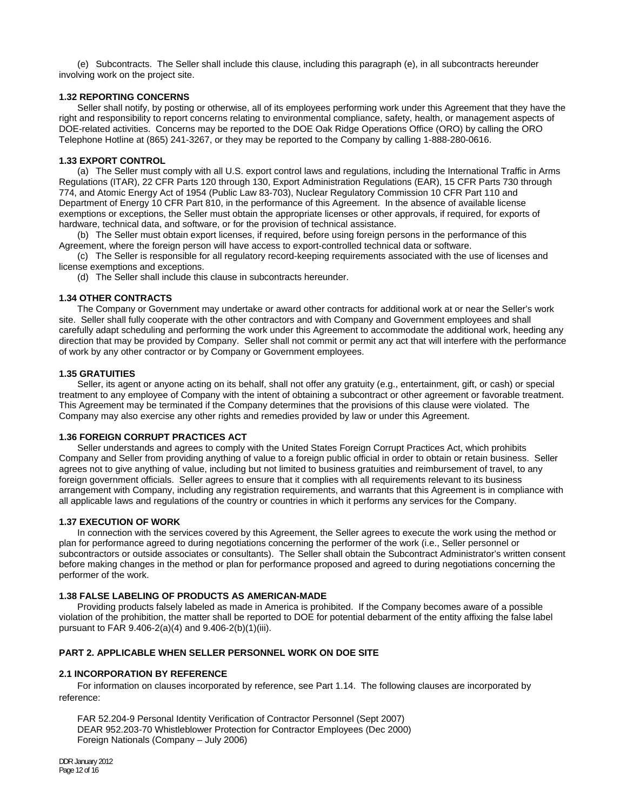(e) Subcontracts. The Seller shall include this clause, including this paragraph (e), in all subcontracts hereunder involving work on the project site.

# **1.32 REPORTING CONCERNS**

 Seller shall notify, by posting or otherwise, all of its employees performing work under this Agreement that they have the right and responsibility to report concerns relating to environmental compliance, safety, health, or management aspects of DOE-related activities. Concerns may be reported to the DOE Oak Ridge Operations Office (ORO) by calling the ORO Telephone Hotline at (865) 241-3267, or they may be reported to the Company by calling 1-888-280-0616.

### **1.33 EXPORT CONTROL**

(a) The Seller must comply with all U.S. export control laws and regulations, including the International Traffic in Arms Regulations (ITAR), 22 CFR Parts 120 through 130, Export Administration Regulations (EAR), 15 CFR Parts 730 through 774, and Atomic Energy Act of 1954 (Public Law 83-703), Nuclear Regulatory Commission 10 CFR Part 110 and Department of Energy 10 CFR Part 810, in the performance of this Agreement. In the absence of available license exemptions or exceptions, the Seller must obtain the appropriate licenses or other approvals, if required, for exports of hardware, technical data, and software, or for the provision of technical assistance.

 (b) The Seller must obtain export licenses, if required, before using foreign persons in the performance of this Agreement, where the foreign person will have access to export-controlled technical data or software.

 (c) The Seller is responsible for all regulatory record-keeping requirements associated with the use of licenses and license exemptions and exceptions.

(d) The Seller shall include this clause in subcontracts hereunder.

### **1.34 OTHER CONTRACTS**

 The Company or Government may undertake or award other contracts for additional work at or near the Seller's work site. Seller shall fully cooperate with the other contractors and with Company and Government employees and shall carefully adapt scheduling and performing the work under this Agreement to accommodate the additional work, heeding any direction that may be provided by Company. Seller shall not commit or permit any act that will interfere with the performance of work by any other contractor or by Company or Government employees.

## **1.35 GRATUITIES**

 Seller, its agent or anyone acting on its behalf, shall not offer any gratuity (e.g., entertainment, gift, or cash) or special treatment to any employee of Company with the intent of obtaining a subcontract or other agreement or favorable treatment. This Agreement may be terminated if the Company determines that the provisions of this clause were violated. The Company may also exercise any other rights and remedies provided by law or under this Agreement.

#### **1.36 FOREIGN CORRUPT PRACTICES ACT**

 Seller understands and agrees to comply with the United States Foreign Corrupt Practices Act, which prohibits Company and Seller from providing anything of value to a foreign public official in order to obtain or retain business. Seller agrees not to give anything of value, including but not limited to business gratuities and reimbursement of travel, to any foreign government officials. Seller agrees to ensure that it complies with all requirements relevant to its business arrangement with Company, including any registration requirements, and warrants that this Agreement is in compliance with all applicable laws and regulations of the country or countries in which it performs any services for the Company.

#### **1.37 EXECUTION OF WORK**

 In connection with the services covered by this Agreement, the Seller agrees to execute the work using the method or plan for performance agreed to during negotiations concerning the performer of the work (i.e., Seller personnel or subcontractors or outside associates or consultants). The Seller shall obtain the Subcontract Administrator's written consent before making changes in the method or plan for performance proposed and agreed to during negotiations concerning the performer of the work.

#### **1.38 FALSE LABELING OF PRODUCTS AS AMERICAN-MADE**

 Providing products falsely labeled as made in America is prohibited. If the Company becomes aware of a possible violation of the prohibition, the matter shall be reported to DOE for potential debarment of the entity affixing the false label pursuant to FAR 9.406-2(a)(4) and 9.406-2(b)(1)(iii).

# **PART 2. APPLICABLE WHEN SELLER PERSONNEL WORK ON DOE SITE**

#### **2.1 INCORPORATION BY REFERENCE**

 For information on clauses incorporated by reference, see Part 1.14. The following clauses are incorporated by reference:

 FAR 52.204-9 Personal Identity Verification of Contractor Personnel (Sept 2007) DEAR 952.203-70 Whistleblower Protection for Contractor Employees (Dec 2000) Foreign Nationals (Company – July 2006)

DDR January 2012 Page 12 of 16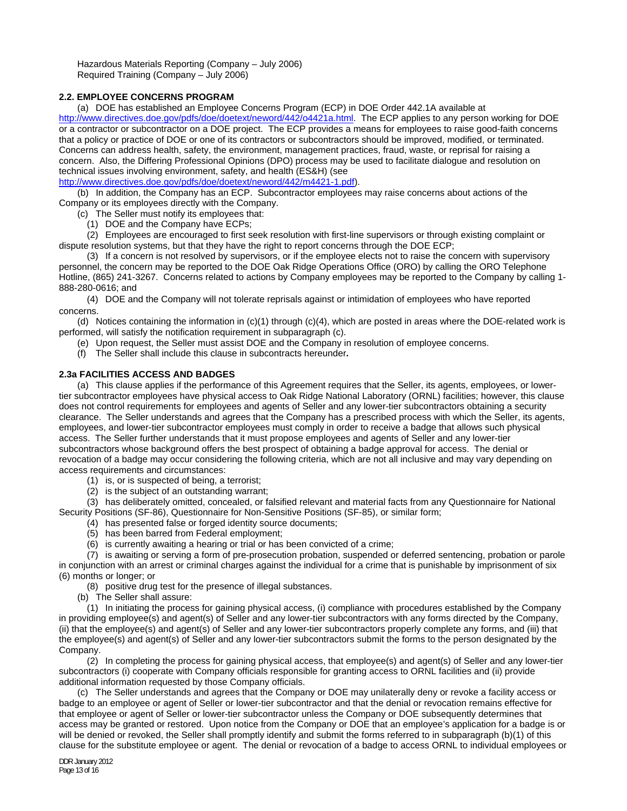Hazardous Materials Reporting (Company – July 2006) Required Training (Company – July 2006)

# **2.2. EMPLOYEE CONCERNS PROGRAM**

(a) DOE has established an Employee Concerns Program (ECP) in DOE Order 442.1A available at

http://www.directives.doe.gov/pdfs/doe/doetext/neword/442/o4421a.html. The ECP applies to any person working for DOE or a contractor or subcontractor on a DOE project. The ECP provides a means for employees to raise good-faith concerns that a policy or practice of DOE or one of its contractors or subcontractors should be improved, modified, or terminated. Concerns can address health, safety, the environment, management practices, fraud, waste, or reprisal for raising a concern. Also, the Differing Professional Opinions (DPO) process may be used to facilitate dialogue and resolution on technical issues involving environment, safety, and health (ES&H) (see

http://www.directives.doe.gov/pdfs/doe/doetext/neword/442/m4421-1.pdf).

 (b) In addition, the Company has an ECP. Subcontractor employees may raise concerns about actions of the Company or its employees directly with the Company.

(c) The Seller must notify its employees that:

(1) DOE and the Company have ECPs;

 (2) Employees are encouraged to first seek resolution with first-line supervisors or through existing complaint or dispute resolution systems, but that they have the right to report concerns through the DOE ECP;

 (3) If a concern is not resolved by supervisors, or if the employee elects not to raise the concern with supervisory personnel, the concern may be reported to the DOE Oak Ridge Operations Office (ORO) by calling the ORO Telephone Hotline, (865) 241-3267. Concerns related to actions by Company employees may be reported to the Company by calling 1- 888-280-0616; and

 (4) DOE and the Company will not tolerate reprisals against or intimidation of employees who have reported concerns.

 (d) Notices containing the information in (c)(1) through (c)(4), which are posted in areas where the DOE-related work is performed, will satisfy the notification requirement in subparagraph (c).

- (e) Upon request, the Seller must assist DOE and the Company in resolution of employee concerns.
- (f) The Seller shall include this clause in subcontracts hereunder**.**

# **2.3a FACILITIES ACCESS AND BADGES**

 (a) This clause applies if the performance of this Agreement requires that the Seller, its agents, employees, or lowertier subcontractor employees have physical access to Oak Ridge National Laboratory (ORNL) facilities; however, this clause does not control requirements for employees and agents of Seller and any lower-tier subcontractors obtaining a security clearance. The Seller understands and agrees that the Company has a prescribed process with which the Seller, its agents, employees, and lower-tier subcontractor employees must comply in order to receive a badge that allows such physical access. The Seller further understands that it must propose employees and agents of Seller and any lower-tier subcontractors whose background offers the best prospect of obtaining a badge approval for access. The denial or revocation of a badge may occur considering the following criteria, which are not all inclusive and may vary depending on access requirements and circumstances:

(1) is, or is suspected of being, a terrorist;

(2) is the subject of an outstanding warrant;

 (3) has deliberately omitted, concealed, or falsified relevant and material facts from any Questionnaire for National Security Positions (SF-86), Questionnaire for Non-Sensitive Positions (SF-85), or similar form;

- (4) has presented false or forged identity source documents;
- (5) has been barred from Federal employment;
- (6) is currently awaiting a hearing or trial or has been convicted of a crime;

 (7) is awaiting or serving a form of pre-prosecution probation, suspended or deferred sentencing, probation or parole in conjunction with an arrest or criminal charges against the individual for a crime that is punishable by imprisonment of six (6) months or longer; or

(8) positive drug test for the presence of illegal substances.

(b) The Seller shall assure:

 (1) In initiating the process for gaining physical access, (i) compliance with procedures established by the Company in providing employee(s) and agent(s) of Seller and any lower-tier subcontractors with any forms directed by the Company, (ii) that the employee(s) and agent(s) of Seller and any lower-tier subcontractors properly complete any forms, and (iii) that the employee(s) and agent(s) of Seller and any lower-tier subcontractors submit the forms to the person designated by the Company.

 (2) In completing the process for gaining physical access, that employee(s) and agent(s) of Seller and any lower-tier subcontractors (i) cooperate with Company officials responsible for granting access to ORNL facilities and (ii) provide additional information requested by those Company officials.

 (c) The Seller understands and agrees that the Company or DOE may unilaterally deny or revoke a facility access or badge to an employee or agent of Seller or lower-tier subcontractor and that the denial or revocation remains effective for that employee or agent of Seller or lower-tier subcontractor unless the Company or DOE subsequently determines that access may be granted or restored. Upon notice from the Company or DOE that an employee's application for a badge is or will be denied or revoked, the Seller shall promptly identify and submit the forms referred to in subparagraph (b)(1) of this clause for the substitute employee or agent. The denial or revocation of a badge to access ORNL to individual employees or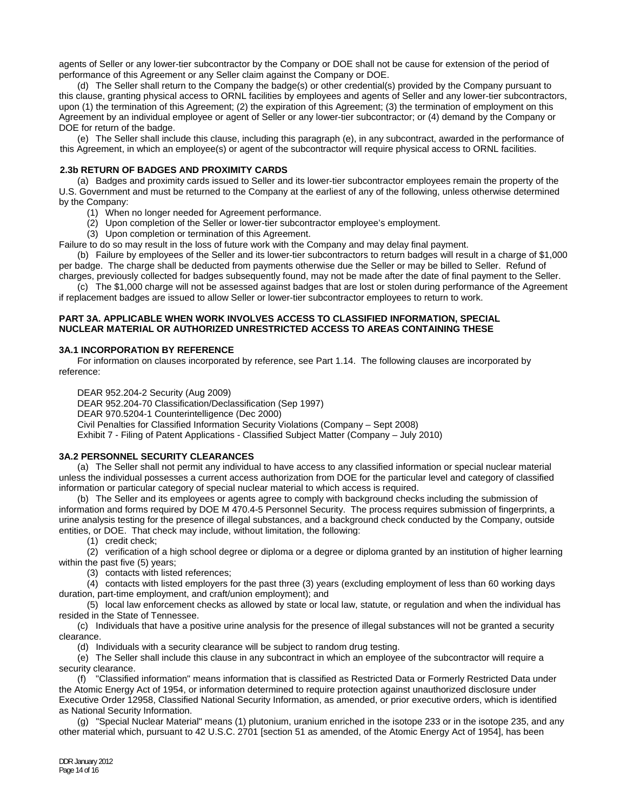agents of Seller or any lower-tier subcontractor by the Company or DOE shall not be cause for extension of the period of performance of this Agreement or any Seller claim against the Company or DOE.

 (d) The Seller shall return to the Company the badge(s) or other credential(s) provided by the Company pursuant to this clause, granting physical access to ORNL facilities by employees and agents of Seller and any lower-tier subcontractors, upon (1) the termination of this Agreement; (2) the expiration of this Agreement; (3) the termination of employment on this Agreement by an individual employee or agent of Seller or any lower-tier subcontractor; or (4) demand by the Company or DOE for return of the badge.

 (e) The Seller shall include this clause, including this paragraph (e), in any subcontract, awarded in the performance of this Agreement, in which an employee(s) or agent of the subcontractor will require physical access to ORNL facilities.

### **2.3b RETURN OF BADGES AND PROXIMITY CARDS**

 (a) Badges and proximity cards issued to Seller and its lower-tier subcontractor employees remain the property of the U.S. Government and must be returned to the Company at the earliest of any of the following, unless otherwise determined by the Company:

- (1) When no longer needed for Agreement performance.
- (2) Upon completion of the Seller or lower-tier subcontractor employee's employment.
- (3) Upon completion or termination of this Agreement.

Failure to do so may result in the loss of future work with the Company and may delay final payment.

 (b) Failure by employees of the Seller and its lower-tier subcontractors to return badges will result in a charge of \$1,000 per badge. The charge shall be deducted from payments otherwise due the Seller or may be billed to Seller. Refund of

charges, previously collected for badges subsequently found, may not be made after the date of final payment to the Seller. (c) The \$1,000 charge will not be assessed against badges that are lost or stolen during performance of the Agreement

if replacement badges are issued to allow Seller or lower-tier subcontractor employees to return to work.

## **PART 3A. APPLICABLE WHEN WORK INVOLVES ACCESS TO CLASSIFIED INFORMATION, SPECIAL NUCLEAR MATERIAL OR AUTHORIZED UNRESTRICTED ACCESS TO AREAS CONTAINING THESE**

## **3A.1 INCORPORATION BY REFERENCE**

 For information on clauses incorporated by reference, see Part 1.14. The following clauses are incorporated by reference:

DEAR 952.204-2 Security (Aug 2009)

DEAR 952.204-70 Classification/Declassification (Sep 1997) DEAR 970.5204-1 Counterintelligence (Dec 2000) Civil Penalties for Classified Information Security Violations (Company – Sept 2008)

Exhibit 7 - Filing of Patent Applications - Classified Subject Matter (Company – July 2010)

# **3A.2 PERSONNEL SECURITY CLEARANCES**

 (a) The Seller shall not permit any individual to have access to any classified information or special nuclear material unless the individual possesses a current access authorization from DOE for the particular level and category of classified information or particular category of special nuclear material to which access is required.

 (b) The Seller and its employees or agents agree to comply with background checks including the submission of information and forms required by DOE M 470.4-5 Personnel Security. The process requires submission of fingerprints, a urine analysis testing for the presence of illegal substances, and a background check conducted by the Company, outside entities, or DOE. That check may include, without limitation, the following:

(1) credit check;

 (2) verification of a high school degree or diploma or a degree or diploma granted by an institution of higher learning within the past five (5) years;

(3) contacts with listed references;

 (4) contacts with listed employers for the past three (3) years (excluding employment of less than 60 working days duration, part-time employment, and craft/union employment); and

 (5) local law enforcement checks as allowed by state or local law, statute, or regulation and when the individual has resided in the State of Tennessee.

 (c) Individuals that have a positive urine analysis for the presence of illegal substances will not be granted a security clearance.

(d) Individuals with a security clearance will be subject to random drug testing.

 (e) The Seller shall include this clause in any subcontract in which an employee of the subcontractor will require a security clearance.

 (f) "Classified information" means information that is classified as Restricted Data or Formerly Restricted Data under the Atomic Energy Act of 1954, or information determined to require protection against unauthorized disclosure under Executive Order 12958, Classified National Security Information, as amended, or prior executive orders, which is identified as National Security Information.

 (g) "Special Nuclear Material" means (1) plutonium, uranium enriched in the isotope 233 or in the isotope 235, and any other material which, pursuant to 42 U.S.C. 2701 [section 51 as amended, of the Atomic Energy Act of 1954], has been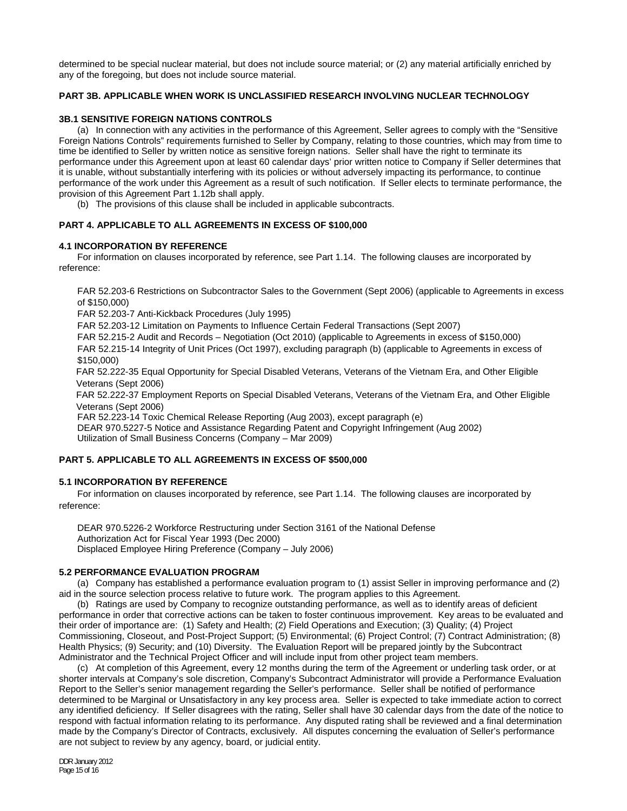determined to be special nuclear material, but does not include source material; or (2) any material artificially enriched by any of the foregoing, but does not include source material.

# **PART 3B. APPLICABLE WHEN WORK IS UNCLASSIFIED RESEARCH INVOLVING NUCLEAR TECHNOLOGY**

## **3B.1 SENSITIVE FOREIGN NATIONS CONTROLS**

 (a) In connection with any activities in the performance of this Agreement, Seller agrees to comply with the "Sensitive Foreign Nations Controls" requirements furnished to Seller by Company, relating to those countries, which may from time to time be identified to Seller by written notice as sensitive foreign nations. Seller shall have the right to terminate its performance under this Agreement upon at least 60 calendar days' prior written notice to Company if Seller determines that it is unable, without substantially interfering with its policies or without adversely impacting its performance, to continue performance of the work under this Agreement as a result of such notification. If Seller elects to terminate performance, the provision of this Agreement Part 1.12b shall apply.

(b) The provisions of this clause shall be included in applicable subcontracts.

# **PART 4. APPLICABLE TO ALL AGREEMENTS IN EXCESS OF \$100,000**

## **4.1 INCORPORATION BY REFERENCE**

 For information on clauses incorporated by reference, see Part 1.14. The following clauses are incorporated by reference:

FAR 52.203-6 Restrictions on Subcontractor Sales to the Government (Sept 2006) (applicable to Agreements in excess of \$150,000)

FAR 52.203-7 Anti-Kickback Procedures (July 1995)

FAR 52.203-12 Limitation on Payments to Influence Certain Federal Transactions (Sept 2007)

FAR 52.215-2 Audit and Records – Negotiation (Oct 2010) (applicable to Agreements in excess of \$150,000)

FAR 52.215-14 Integrity of Unit Prices (Oct 1997), excluding paragraph (b) (applicable to Agreements in excess of \$150,000)

FAR 52.222-35 Equal Opportunity for Special Disabled Veterans, Veterans of the Vietnam Era, and Other Eligible Veterans (Sept 2006)

FAR 52.222-37 Employment Reports on Special Disabled Veterans, Veterans of the Vietnam Era, and Other Eligible Veterans (Sept 2006)

FAR 52.223-14 Toxic Chemical Release Reporting (Aug 2003), except paragraph (e) DEAR 970.5227-5 Notice and Assistance Regarding Patent and Copyright Infringement (Aug 2002) Utilization of Small Business Concerns (Company – Mar 2009)

# **PART 5. APPLICABLE TO ALL AGREEMENTS IN EXCESS OF \$500,000**

# **5.1 INCORPORATION BY REFERENCE**

For information on clauses incorporated by reference, see Part 1.14. The following clauses are incorporated by reference:

 DEAR 970.5226-2 Workforce Restructuring under Section 3161 of the National Defense Authorization Act for Fiscal Year 1993 (Dec 2000) Displaced Employee Hiring Preference (Company – July 2006)

#### **5.2 PERFORMANCE EVALUATION PROGRAM**

(a) Company has established a performance evaluation program to (1) assist Seller in improving performance and (2) aid in the source selection process relative to future work. The program applies to this Agreement.

 (b) Ratings are used by Company to recognize outstanding performance, as well as to identify areas of deficient performance in order that corrective actions can be taken to foster continuous improvement. Key areas to be evaluated and their order of importance are: (1) Safety and Health; (2) Field Operations and Execution; (3) Quality; (4) Project Commissioning, Closeout, and Post-Project Support; (5) Environmental; (6) Project Control; (7) Contract Administration; (8) Health Physics; (9) Security; and (10) Diversity. The Evaluation Report will be prepared jointly by the Subcontract Administrator and the Technical Project Officer and will include input from other project team members.

(c) At completion of this Agreement, every 12 months during the term of the Agreement or underling task order, or at shorter intervals at Company's sole discretion, Company's Subcontract Administrator will provide a Performance Evaluation Report to the Seller's senior management regarding the Seller's performance. Seller shall be notified of performance determined to be Marginal or Unsatisfactory in any key process area. Seller is expected to take immediate action to correct any identified deficiency. If Seller disagrees with the rating, Seller shall have 30 calendar days from the date of the notice to respond with factual information relating to its performance. Any disputed rating shall be reviewed and a final determination made by the Company's Director of Contracts, exclusively. All disputes concerning the evaluation of Seller's performance are not subject to review by any agency, board, or judicial entity.